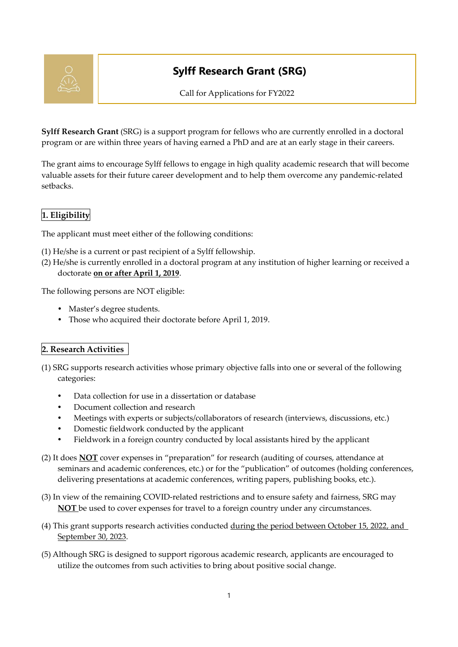

# **Sylff Research Grant (SRG)**

Call for Applications for FY2022

**Sylff Research Grant** (SRG) is a support program for fellows who are currently enrolled in a doctoral program or are within three years of having earned a PhD and are at an early stage in their careers.

The grant aims to encourage Sylff fellows to engage in high quality academic research that will become valuable assets for their future career development and to help them overcome any pandemic-related setbacks.

# **1. Eligibility**

The applicant must meet either of the following conditions:

- (1) He/she is a current or past recipient of a Sylff fellowship.
- (2) He/she is currently enrolled in a doctoral program at any institution of higher learning or received a doctorate **on or after April 1, 2019**.

The following persons are NOT eligible:

- Master's degree students.
- Those who acquired their doctorate before April 1, 2019.

#### **2. Research Activities**

- (1) SRG supports research activities whose primary objective falls into one or several of the following categories:
	- Data collection for use in a dissertation or database
	- Document collection and research
	- Meetings with experts or subjects/collaborators of research (interviews, discussions, etc.)
	- Domestic fieldwork conducted by the applicant
	- Fieldwork in a foreign country conducted by local assistants hired by the applicant
- (2) It does **NOT** cover expenses in "preparation" for research (auditing of courses, attendance at seminars and academic conferences, etc.) or for the "publication" of outcomes (holding conferences, delivering presentations at academic conferences, writing papers, publishing books, etc.).
- (3) In view of the remaining COVID-related restrictions and to ensure safety and fairness, SRG may **NOT** be used to cover expenses for travel to a foreign country under any circumstances.
- (4) This grant supports research activities conducted during the period between October 15, 2022, and September 30, 2023.
- (5) Although SRG is designed to support rigorous academic research, applicants are encouraged to utilize the outcomes from such activities to bring about positive social change.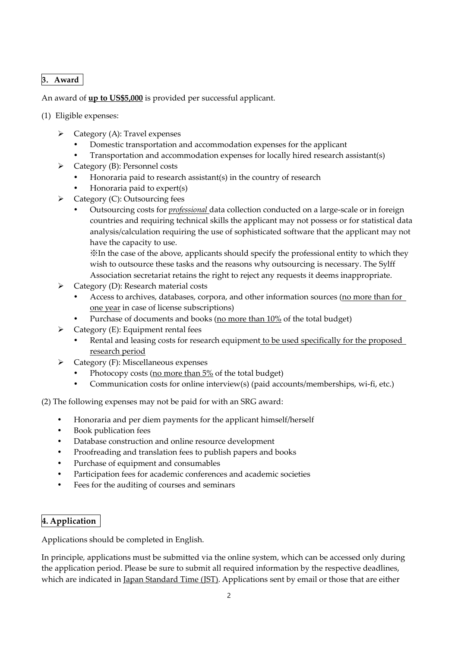# **3**.**Award**

An award of **up to US\$5,000** is provided per successful applicant.

- (1) Eligible expenses:
	- ➢ Category (A): Travel expenses
		- Domestic transportation and accommodation expenses for the applicant
		- Transportation and accommodation expenses for locally hired research assistant(s)
	- ➢ Category (B): Personnel costs
		- Honoraria paid to research assistant(s) in the country of research
		- Honoraria paid to expert(s)
		- ➢ Category (C): Outsourcing fees
			- Outsourcing costs for *professional* data collection conducted on a large-scale or in foreign countries and requiring technical skills the applicant may not possess or for statistical data analysis/calculation requiring the use of sophisticated software that the applicant may not have the capacity to use.

※In the case of the above, applicants should specify the professional entity to which they wish to outsource these tasks and the reasons why outsourcing is necessary. The Sylff Association secretariat retains the right to reject any requests it deems inappropriate.

- ➢ Category (D): Research material costs
	- Access to archives, databases, corpora, and other information sources (no more than for one year in case of license subscriptions)
	- Purchase of documents and books (no more than 10% of the total budget)
- $\triangleright$  Category (E): Equipment rental fees
	- Rental and leasing costs for research equipment to be used specifically for the proposed research period
- ➢ Category (F): Miscellaneous expenses
	- Photocopy costs (no more than 5% of the total budget)
	- Communication costs for online interview(s) (paid accounts/memberships, wi-fi, etc.)

(2) The following expenses may not be paid for with an SRG award:

- Honoraria and per diem payments for the applicant himself/herself
- Book publication fees
- Database construction and online resource development
- Proofreading and translation fees to publish papers and books
- Purchase of equipment and consumables
- Participation fees for academic conferences and academic societies
- Fees for the auditing of courses and seminars

# **4. Application**

Applications should be completed in English.

In principle, applications must be submitted via the online system, which can be accessed only during the application period. Please be sure to submit all required information by the respective deadlines, which are indicated in Japan Standard Time (JST). Applications sent by email or those that are either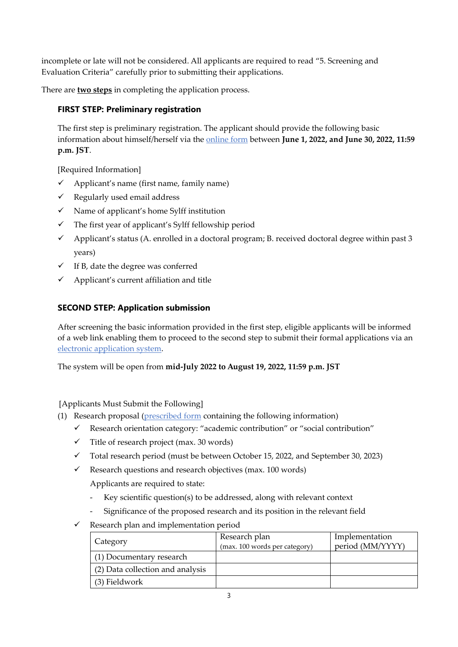incomplete or late will not be considered. All applicants are required to read "5. Screening and Evaluation Criteria" carefully prior to submitting their applications.

There are **two steps** in completing the application process.

#### **FIRST STEP: Preliminary registration**

The first step is preliminary registration. The applicant should provide the following basic information about himself/herself via the online form between **June 1, 2022, and June 30, 2022, 11:59 p.m. JST**.

[Required Information]

- ✓ Applicant's name (first name, family name)
- $\checkmark$  Regularly used email address
- ✓ Name of applicant's home Sylff institution
- $\checkmark$  The first year of applicant's Sylff fellowship period
- ✓ Applicant's status (A. enrolled in a doctoral program; B. received doctoral degree within past 3 years)
- $\checkmark$  If B, date the degree was conferred
- Applicant's current affiliation and title

## **SECOND STEP: Application submission**

After screening the basic information provided in the first step, eligible applicants will be informed of a web link enabling them to proceed to the second step to submit their formal applications via an electronic application system.

The system will be open from **mid-July 2022 to August 19, 2022, 11:59 p.m. JST**

[Applicants Must Submit the Following]

- (1) Research proposal (prescribed form containing the following information)
	- ✓ Research orientation category: "academic contribution" or "social contribution"
	- $\checkmark$  Title of research project (max. 30 words)
	- ✓ Total research period (must be between October 15, 2022, and September 30, 2023)
	- $\checkmark$  Research questions and research objectives (max. 100 words)

Applicants are required to state:

- Key scientific question(s) to be addressed, along with relevant context
- Significance of the proposed research and its position in the relevant field
- $\checkmark$  Research plan and implementation period

| Category                         | Research plan<br>(max. 100 words per category) | Implementation<br>period (MM/YYYY) |
|----------------------------------|------------------------------------------------|------------------------------------|
| (1) Documentary research         |                                                |                                    |
| (2) Data collection and analysis |                                                |                                    |
| (3) Fieldwork                    |                                                |                                    |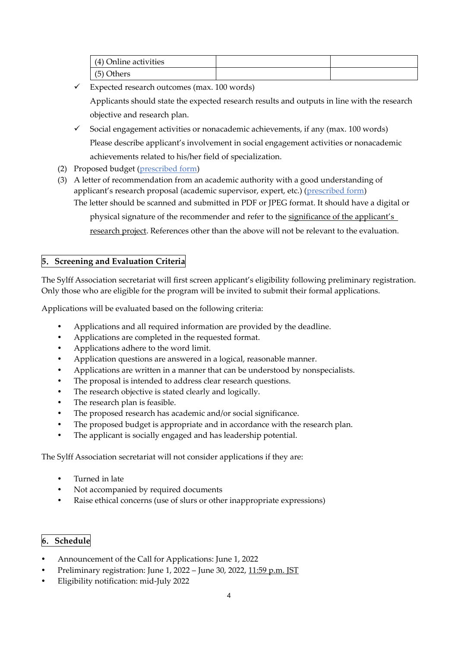| (4) Online activities |  |
|-----------------------|--|
| $(5)$ C<br>Others     |  |

 $\checkmark$  Expected research outcomes (max. 100 words)

Applicants should state the expected research results and outputs in line with the research objective and research plan.

- $\checkmark$  Social engagement activities or nonacademic achievements, if any (max. 100 words) Please describe applicant's involvement in social engagement activities or nonacademic achievements related to his/her field of specialization.
- (2) Proposed budget (prescribed form)
- (3) A letter of recommendation from an academic authority with a good understanding of applicant's research proposal (academic supervisor, expert, etc.) (prescribed form) The letter should be scanned and submitted in PDF or JPEG format. It should have a digital or

physical signature of the recommender and refer to the significance of the applicant's

research project. References other than the above will not be relevant to the evaluation.

## **5**.**Screening and Evaluation Criteria**

The Sylff Association secretariat will first screen applicant's eligibility following preliminary registration. Only those who are eligible for the program will be invited to submit their formal applications.

Applications will be evaluated based on the following criteria:

- Applications and all required information are provided by the deadline.
- Applications are completed in the requested format.
- Applications adhere to the word limit.
- Application questions are answered in a logical, reasonable manner.
- Applications are written in a manner that can be understood by nonspecialists.
- The proposal is intended to address clear research questions.
- The research objective is stated clearly and logically.
- The research plan is feasible.
- The proposed research has academic and/or social significance.
- The proposed budget is appropriate and in accordance with the research plan.
- The applicant is socially engaged and has leadership potential.

The Sylff Association secretariat will not consider applications if they are:

- Turned in late
- Not accompanied by required documents
- Raise ethical concerns (use of slurs or other inappropriate expressions)

#### **6**.**Schedule**

- Announcement of the Call for Applications: June 1, 2022
- Preliminary registration: June 1, 2022 June 30, 2022, 11:59 p.m. JST
- Eligibility notification: mid-July 2022